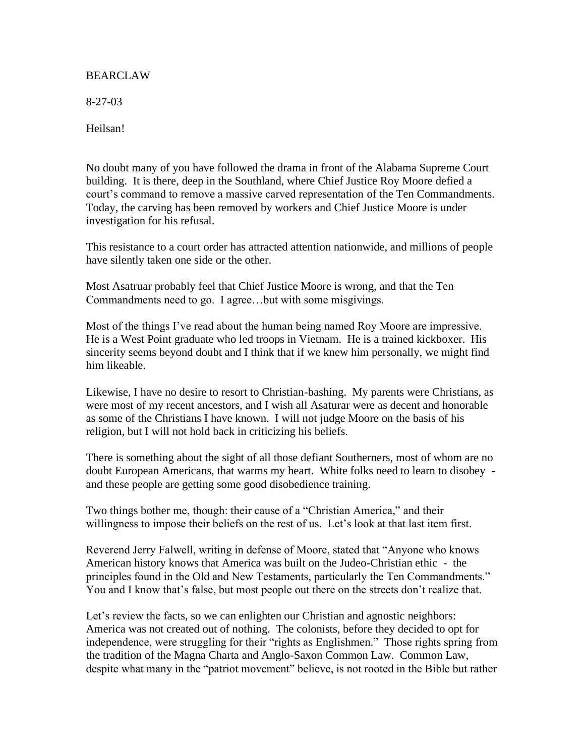## BEARCLAW

8-27-03

Heilsan!

No doubt many of you have followed the drama in front of the Alabama Supreme Court building. It is there, deep in the Southland, where Chief Justice Roy Moore defied a court's command to remove a massive carved representation of the Ten Commandments. Today, the carving has been removed by workers and Chief Justice Moore is under investigation for his refusal.

This resistance to a court order has attracted attention nationwide, and millions of people have silently taken one side or the other.

Most Asatruar probably feel that Chief Justice Moore is wrong, and that the Ten Commandments need to go. I agree…but with some misgivings.

Most of the things I've read about the human being named Roy Moore are impressive. He is a West Point graduate who led troops in Vietnam. He is a trained kickboxer. His sincerity seems beyond doubt and I think that if we knew him personally, we might find him likeable.

Likewise, I have no desire to resort to Christian-bashing. My parents were Christians, as were most of my recent ancestors, and I wish all Asaturar were as decent and honorable as some of the Christians I have known. I will not judge Moore on the basis of his religion, but I will not hold back in criticizing his beliefs.

There is something about the sight of all those defiant Southerners, most of whom are no doubt European Americans, that warms my heart. White folks need to learn to disobey and these people are getting some good disobedience training.

Two things bother me, though: their cause of a "Christian America," and their willingness to impose their beliefs on the rest of us. Let's look at that last item first.

Reverend Jerry Falwell, writing in defense of Moore, stated that "Anyone who knows American history knows that America was built on the Judeo-Christian ethic - the principles found in the Old and New Testaments, particularly the Ten Commandments." You and I know that's false, but most people out there on the streets don't realize that.

Let's review the facts, so we can enlighten our Christian and agnostic neighbors: America was not created out of nothing. The colonists, before they decided to opt for independence, were struggling for their "rights as Englishmen." Those rights spring from the tradition of the Magna Charta and Anglo-Saxon Common Law. Common Law, despite what many in the "patriot movement" believe, is not rooted in the Bible but rather